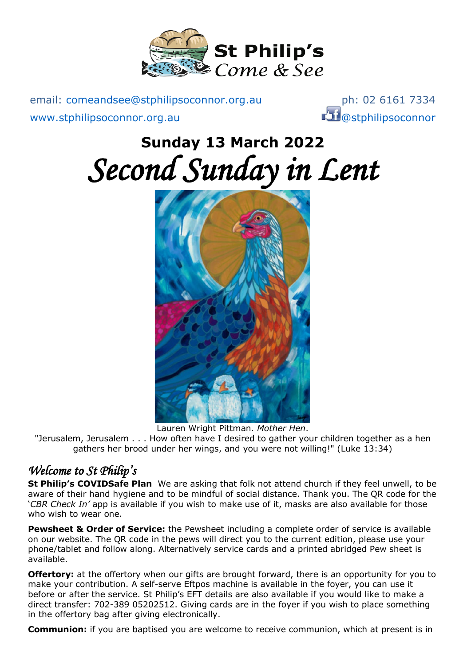

email: [comeandsee@stphilipsoconnor.org.au](mailto:comeandsee@stphilipsoconnor.org.au) ph: 02 6161 7334 [www.stphilipsoconnor.org.au](http://www.stphilipsoconnor.org.au/) and all and the study of the study of the study www.stphilipsoconnor

# **Sunday 13 March 2022**  *Second Sunday in Lent*



Lauren Wright Pittman. *Mother Hen*.

"Jerusalem, Jerusalem . . . How often have I desired to gather your children together as a hen gathers her brood under her wings, and you were not willing!" (Luke 13:34)

# *Welcome to St Philip's*

**St Philip's COVIDSafe Plan** We are asking that folk not attend church if they feel unwell, to be aware of their hand hygiene and to be mindful of social distance. Thank you. The QR code for the '*CBR Check In'* app is available if you wish to make use of it, masks are also available for those who wish to wear one.

**Pewsheet & Order of Service:** the Pewsheet including a complete order of service is available on our website. The QR code in the pews will direct you to the current edition, please use your phone/tablet and follow along. Alternatively service cards and a printed abridged Pew sheet is available.

**Offertory:** at the offertory when our gifts are brought forward, there is an opportunity for you to make your contribution. A self-serve Eftpos machine is available in the foyer, you can use it before or after the service. St Philip's EFT details are also available if you would like to make a direct transfer: 702-389 05202512. Giving cards are in the foyer if you wish to place something in the offertory bag after giving electronically.

**Communion:** if you are baptised you are welcome to receive communion, which at present is in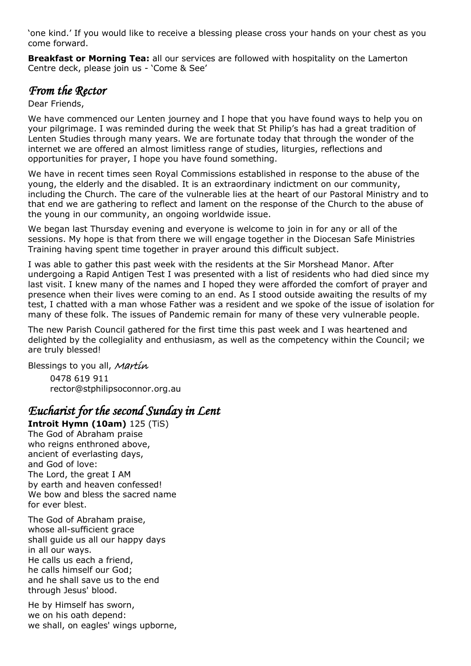'one kind.' If you would like to receive a blessing please cross your hands on your chest as you come forward.

**Breakfast or Morning Tea:** all our services are followed with hospitality on the Lamerton Centre deck, please join us - 'Come & See'

# *From the Rector*

Dear Friends,

We have commenced our Lenten journey and I hope that you have found ways to help you on your pilgrimage. I was reminded during the week that St Philip's has had a great tradition of Lenten Studies through many years. We are fortunate today that through the wonder of the internet we are offered an almost limitless range of studies, liturgies, reflections and opportunities for prayer, I hope you have found something.

We have in recent times seen Royal Commissions established in response to the abuse of the young, the elderly and the disabled. It is an extraordinary indictment on our community, including the Church. The care of the vulnerable lies at the heart of our Pastoral Ministry and to that end we are gathering to reflect and lament on the response of the Church to the abuse of the young in our community, an ongoing worldwide issue.

We began last Thursday evening and everyone is welcome to join in for any or all of the sessions. My hope is that from there we will engage together in the Diocesan Safe Ministries Training having spent time together in prayer around this difficult subject.

I was able to gather this past week with the residents at the Sir Morshead Manor. After undergoing a Rapid Antigen Test I was presented with a list of residents who had died since my last visit. I knew many of the names and I hoped they were afforded the comfort of prayer and presence when their lives were coming to an end. As I stood outside awaiting the results of my test, I chatted with a man whose Father was a resident and we spoke of the issue of isolation for many of these folk. The issues of Pandemic remain for many of these very vulnerable people.

The new Parish Council gathered for the first time this past week and I was heartened and delighted by the collegiality and enthusiasm, as well as the competency within the Council; we are truly blessed!

Blessings to you all, *Martin* 0478 619 911 rector@stphilipsoconnor.org.au

# *Eucharist for the second Sunday in Lent*

**Introit Hymn (10am)** 125 (TiS) The God of Abraham praise who reigns enthroned above, ancient of everlasting days, and God of love: The Lord, the great I AM by earth and heaven confessed! We bow and bless the sacred name for ever blest.

The God of Abraham praise, whose all-sufficient grace shall guide us all our happy days in all our ways. He calls us each a friend, he calls himself our God; and he shall save us to the end through Jesus' blood.

He by Himself has sworn, we on his oath depend: we shall, on eagles' wings upborne,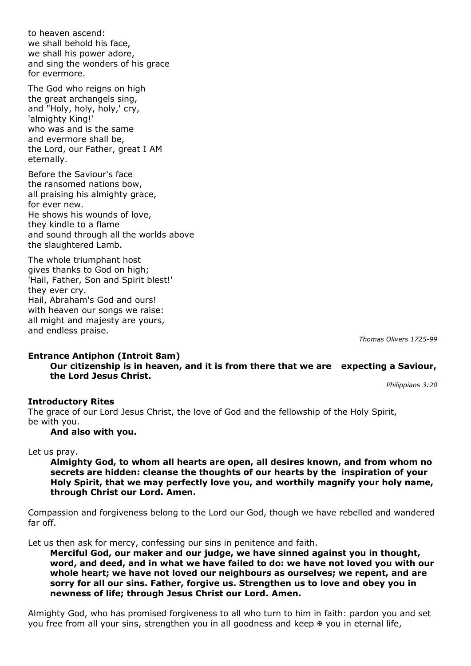to heaven ascend: we shall behold his face, we shall his power adore, and sing the wonders of his grace for evermore.

The God who reigns on high the great archangels sing, and "Holy, holy, holy,' cry, 'almighty King!' who was and is the same and evermore shall be, the Lord, our Father, great I AM eternally.

Before the Saviour's face the ransomed nations bow, all praising his almighty grace, for ever new. He shows his wounds of love, they kindle to a flame and sound through all the worlds above the slaughtered Lamb.

The whole triumphant host gives thanks to God on high; 'Hail, Father, Son and Spirit blest!' they ever cry. Hail, Abraham's God and ours! with heaven our songs we raise: all might and majesty are yours, and endless praise.

*Thomas Olivers 1725-99*

## **Entrance Antiphon (Introit 8am)**

**Our citizenship is in heaven, and it is from there that we are expecting a Saviour, the Lord Jesus Christ.**

*Philippians 3:20*

#### **Introductory Rites**

The grace of our Lord Jesus Christ, the love of God and the fellowship of the Holy Spirit, be with you.

# **And also with you.**

#### Let us pray.

**Almighty God, to whom all hearts are open, all desires known, and from whom no secrets are hidden: cleanse the thoughts of our hearts by the inspiration of your Holy Spirit, that we may perfectly love you, and worthily magnify your holy name, through Christ our Lord. Amen.**

Compassion and forgiveness belong to the Lord our God, though we have rebelled and wandered far off.

Let us then ask for mercy, confessing our sins in penitence and faith.

**Merciful God, our maker and our judge, we have sinned against you in thought, word, and deed, and in what we have failed to do: we have not loved you with our whole heart; we have not loved our neighbours as ourselves; we repent, and are sorry for all our sins. Father, forgive us. Strengthen us to love and obey you in newness of life; through Jesus Christ our Lord. Amen.**

Almighty God, who has promised forgiveness to all who turn to him in faith: pardon you and set you free from all your sins, strengthen you in all goodness and keep  $\ast$  you in eternal life,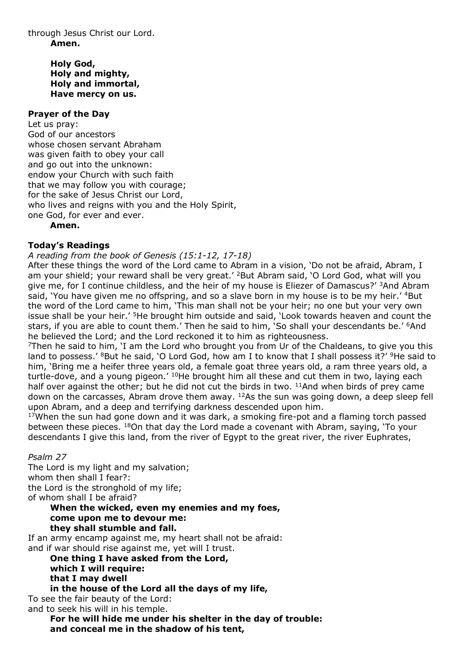through Jesus Christ our Lord. **Amen.**

> **Holy God, Holy and mighty, Holy and immortal, Have mercy on us.**

#### **Prayer of the Day**

Let us pray: God of our ancestors whose chosen servant Abraham was given faith to obey your call and go out into the unknown: endow your Church with such faith that we may follow you with courage; for the sake of Jesus Christ our Lord, who lives and reigns with you and the Holy Spirit, one God, for ever and ever.

**Amen.**

## **Today's Readings**

*A reading from the book of Genesis (15:1-12, 17-18)* 

After these things the word of the Lord came to Abram in a vision, 'Do not be afraid, Abram, I am your shield; your reward shall be very great.' <sup>2</sup>But Abram said, 'O Lord God, what will you give me, for I continue childless, and the heir of my house is Eliezer of Damascus?' <sup>3</sup>And Abram said, 'You have given me no offspring, and so a slave born in my house is to be my heir.' <sup>4</sup>But the word of the Lord came to him, 'This man shall not be your heir; no one but your very own issue shall be your heir.<sup>' 5</sup>He brought him outside and said, 'Look towards heaven and count the stars, if you are able to count them.' Then he said to him, 'So shall your descendants be.' <sup>6</sup>And he believed the Lord; and the Lord reckoned it to him as righteousness.

Then he said to him, I am the Lord who brought you from Ur of the Chaldeans, to give you this land to possess.' <sup>8</sup>But he said, 'O Lord God, how am I to know that I shall possess it?' <sup>9</sup>He said to him, 'Bring me a heifer three years old, a female goat three years old, a ram three years old, a turtle-dove, and a young pigeon.' <sup>10</sup>He brought him all these and cut them in two, laying each half over against the other; but he did not cut the birds in two.  $11$ And when birds of prey came down on the carcasses, Abram drove them away.  $^{12}$ As the sun was going down, a deep sleep fell upon Abram, and a deep and terrifying darkness descended upon him.

 $17$ When the sun had gone down and it was dark, a smoking fire-pot and a flaming torch passed between these pieces. <sup>18</sup>On that day the Lord made a covenant with Abram, saying, 'To your descendants I give this land, from the river of Egypt to the great river, the river Euphrates,

#### *Psalm 27*

The Lord is my light and my salvation; whom then shall I fear?: the Lord is the stronghold of my life; of whom shall I be afraid?

**When the wicked, even my enemies and my foes, come upon me to devour me: they shall stumble and fall.**

If an army encamp against me, my heart shall not be afraid: and if war should rise against me, yet will I trust.

**One thing I have asked from the Lord, which I will require: that I may dwell in the house of the Lord all the days of my life,**

To see the fair beauty of the Lord: and to seek his will in his temple.

**For he will hide me under his shelter in the day of trouble: and conceal me in the shadow of his tent,**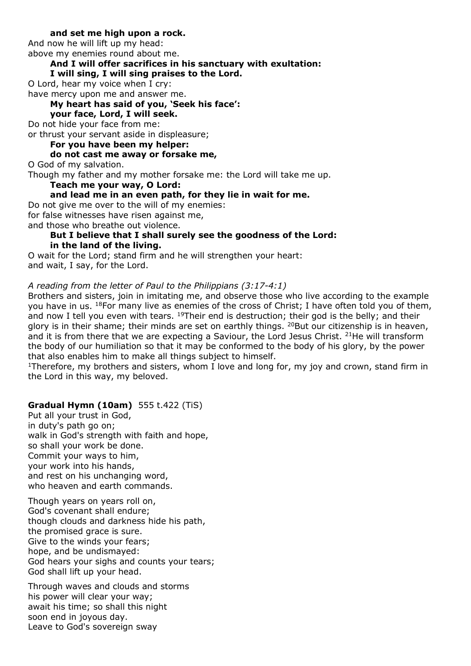# **and set me high upon a rock.**

And now he will lift up my head:

above my enemies round about me.

# **And I will offer sacrifices in his sanctuary with exultation:**

**I will sing, I will sing praises to the Lord.**

O Lord, hear my voice when I cry:

have mercy upon me and answer me.

#### **My heart has said of you, 'Seek his face':**

# **your face, Lord, I will seek.**

Do not hide your face from me:

or thrust your servant aside in displeasure;

# **For you have been my helper:**

## **do not cast me away or forsake me,**

O God of my salvation.

Though my father and my mother forsake me: the Lord will take me up.

**Teach me your way, O Lord:** 

## **and lead me in an even path, for they lie in wait for me.**

Do not give me over to the will of my enemies: for false witnesses have risen against me,

and those who breathe out violence.

#### **But I believe that I shall surely see the goodness of the Lord: in the land of the living.**

O wait for the Lord; stand firm and he will strengthen your heart: and wait, I say, for the Lord.

## *A reading from the letter of Paul to the Philippians (3:17-4:1)*

Brothers and sisters, join in imitating me, and observe those who live according to the example you have in us. <sup>18</sup>For many live as enemies of the cross of Christ; I have often told you of them, and now I tell you even with tears. <sup>19</sup>Their end is destruction; their god is the belly; and their glory is in their shame; their minds are set on earthly things. <sup>20</sup>But our citizenship is in heaven, and it is from there that we are expecting a Saviour, the Lord Jesus Christ. <sup>21</sup>He will transform the body of our humiliation so that it may be conformed to the body of his glory, by the power that also enables him to make all things subject to himself.

<sup>1</sup>Therefore, my brothers and sisters, whom I love and long for, my joy and crown, stand firm in the Lord in this way, my beloved.

# **Gradual Hymn (10am)** 555 t.422 (TiS)

Put all your trust in God, in duty's path go on; walk in God's strength with faith and hope, so shall your work be done. Commit your ways to him, your work into his hands, and rest on his unchanging word, who heaven and earth commands.

Though years on years roll on, God's covenant shall endure; though clouds and darkness hide his path, the promised grace is sure. Give to the winds your fears; hope, and be undismayed: God hears your sighs and counts your tears; God shall lift up your head.

Through waves and clouds and storms his power will clear your way; await his time; so shall this night soon end in joyous day. Leave to God's sovereign sway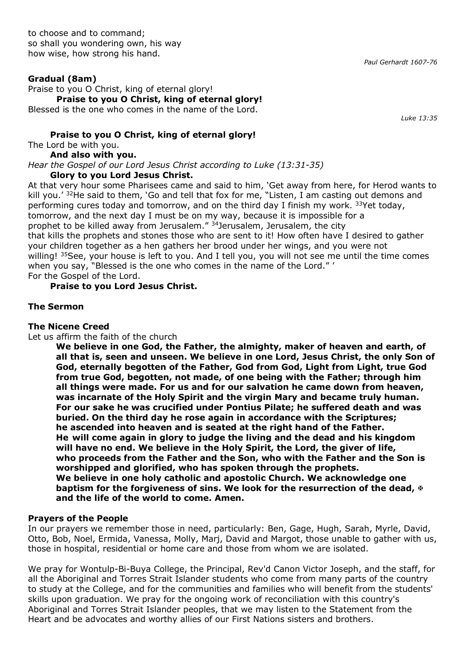#### **Gradual (8am)**

Praise to you O Christ, king of eternal glory!

**Praise to you O Christ, king of eternal glory!**

Blessed is the one who comes in the name of the Lord.

**Praise to you O Christ, king of eternal glory!**

The Lord be with you.

#### **And also with you.**

*Hear the Gospel of our Lord Jesus Christ according to Luke (13:31-35)* **Glory to you Lord Jesus Christ.**

At that very hour some Pharisees came and said to him, 'Get away from here, for Herod wants to kill you.' <sup>32</sup>He said to them, 'Go and tell that fox for me, "Listen, I am casting out demons and performing cures today and tomorrow, and on the third day I finish my work.  $33$ Yet today, tomorrow, and the next day I must be on my way, because it is impossible for a prophet to be killed away from Jerusalem." <sup>34</sup>Jerusalem, Jerusalem, the city that kills the prophets and stones those who are sent to it! How often have I desired to gather your children together as a hen gathers her brood under her wings, and you were not willing! <sup>35</sup>See, your house is left to you. And I tell you, you will not see me until the time comes when you say, "Blessed is the one who comes in the name of the Lord." ' For the Gospel of the Lord.

#### **Praise to you Lord Jesus Christ.**

#### **The Sermon**

#### **The Nicene Creed**

Let us affirm the faith of the church

**We believe in one God, the Father, the almighty, maker of heaven and earth, of all that is, seen and unseen. We believe in one Lord, Jesus Christ, the only Son of God, eternally begotten of the Father, God from God, Light from Light, true God from true God, begotten, not made, of one being with the Father; through him all things were made. For us and for our salvation he came down from heaven, was incarnate of the Holy Spirit and the virgin Mary and became truly human. For our sake he was crucified under Pontius Pilate; he suffered death and was buried. On the third day he rose again in accordance with the Scriptures; he ascended into heaven and is seated at the right hand of the Father. He will come again in glory to judge the living and the dead and his kingdom will have no end. We believe in the Holy Spirit, the Lord, the giver of life, who proceeds from the Father and the Son, who with the Father and the Son is worshipped and glorified, who has spoken through the prophets. We believe in one holy catholic and apostolic Church. We acknowledge one baptism for the forgiveness of sins. We look for the resurrection of the dead, and the life of the world to come. Amen.**

#### **Prayers of the People**

In our prayers we remember those in need, particularly: Ben, Gage, Hugh, Sarah, Myrle, David, Otto, Bob, Noel, Ermida, Vanessa, Molly, Marj, David and Margot, those unable to gather with us, those in hospital, residential or home care and those from whom we are isolated.

We pray for Wontulp-Bi-Buya College, the Principal, Rev'd Canon Victor Joseph, and the staff, for all the Aboriginal and Torres Strait Islander students who come from many parts of the country to study at the College, and for the communities and families who will benefit from the students' skills upon graduation. We pray for the ongoing work of reconciliation with this country's Aboriginal and Torres Strait Islander peoples, that we may listen to the Statement from the Heart and be advocates and worthy allies of our First Nations sisters and brothers.

*Paul Gerhardt 1607-76*

*Luke 13:35*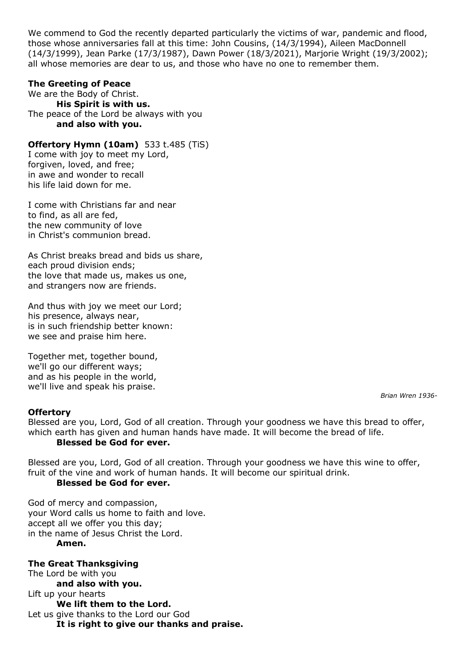We commend to God the recently departed particularly the victims of war, pandemic and flood, those whose anniversaries fall at this time: John Cousins, (14/3/1994), Aileen MacDonnell (14/3/1999), Jean Parke (17/3/1987), Dawn Power (18/3/2021), Marjorie Wright (19/3/2002); all whose memories are dear to us, and those who have no one to remember them.

#### **The Greeting of Peace**

We are the Body of Christ. **His Spirit is with us.**  The peace of the Lord be always with you **and also with you.**

**Offertory Hymn (10am)** 533 t.485 (TiS) I come with joy to meet my Lord, forgiven, loved, and free;

in awe and wonder to recall his life laid down for me.

I come with Christians far and near to find, as all are fed, the new community of love in Christ's communion bread.

As Christ breaks bread and bids us share, each proud division ends; the love that made us, makes us one, and strangers now are friends.

And thus with joy we meet our Lord; his presence, always near, is in such friendship better known: we see and praise him here.

Together met, together bound, we'll go our different ways; and as his people in the world, we'll live and speak his praise.

*Brian Wren 1936-*

# **Offertory**

Blessed are you, Lord, God of all creation. Through your goodness we have this bread to offer, which earth has given and human hands have made. It will become the bread of life.

**Blessed be God for ever.**

Blessed are you, Lord, God of all creation. Through your goodness we have this wine to offer, fruit of the vine and work of human hands. It will become our spiritual drink.

## **Blessed be God for ever.**

God of mercy and compassion, your Word calls us home to faith and love. accept all we offer you this day; in the name of Jesus Christ the Lord. **Amen.**

**The Great Thanksgiving** The Lord be with you **and also with you.** Lift up your hearts **We lift them to the Lord.** Let us give thanks to the Lord our God **It is right to give our thanks and praise.**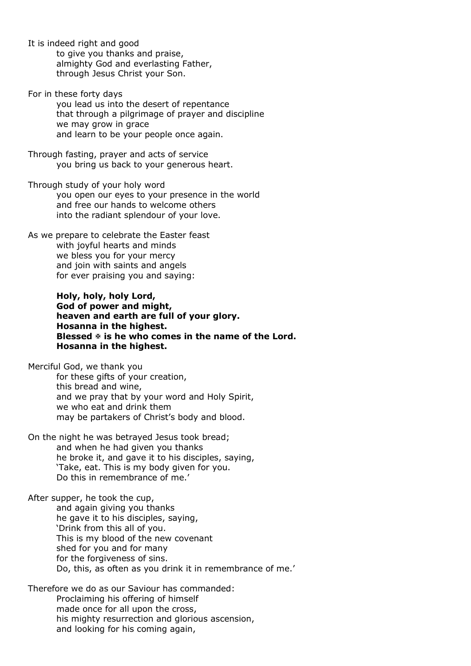It is indeed right and good to give you thanks and praise, almighty God and everlasting Father, through Jesus Christ your Son.

For in these forty days you lead us into the desert of repentance that through a pilgrimage of prayer and discipline we may grow in grace and learn to be your people once again.

Through fasting, prayer and acts of service you bring us back to your generous heart.

Through study of your holy word you open our eyes to your presence in the world and free our hands to welcome others into the radiant splendour of your love.

As we prepare to celebrate the Easter feast with joyful hearts and minds we bless you for your mercy and join with saints and angels for ever praising you and saying:

> **Holy, holy, holy Lord, God of power and might, heaven and earth are full of your glory. Hosanna in the highest. Blessed is he who comes in the name of the Lord. Hosanna in the highest.**

Merciful God, we thank you for these gifts of your creation, this bread and wine, and we pray that by your word and Holy Spirit, we who eat and drink them may be partakers of Christ's body and blood.

On the night he was betrayed Jesus took bread; and when he had given you thanks he broke it, and gave it to his disciples, saying, 'Take, eat. This is my body given for you. Do this in remembrance of me.'

After supper, he took the cup, and again giving you thanks he gave it to his disciples, saying, 'Drink from this all of you. This is my blood of the new covenant shed for you and for many for the forgiveness of sins. Do, this, as often as you drink it in remembrance of me.'

Therefore we do as our Saviour has commanded: Proclaiming his offering of himself made once for all upon the cross, his mighty resurrection and glorious ascension, and looking for his coming again,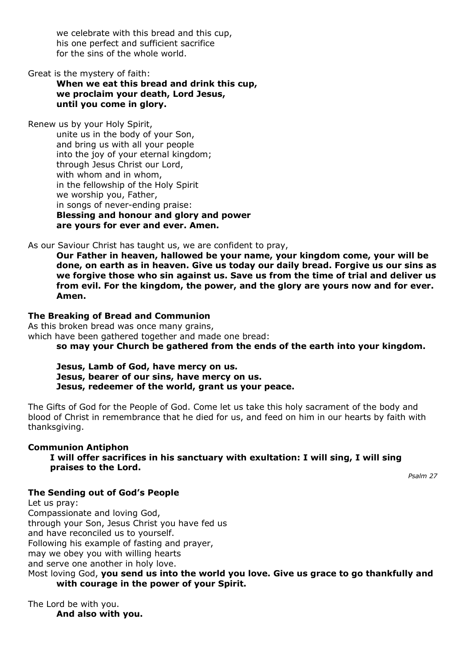we celebrate with this bread and this cup, his one perfect and sufficient sacrifice for the sins of the whole world.

Great is the mystery of faith: **When we eat this bread and drink this cup, we proclaim your death, Lord Jesus, until you come in glory.**

Renew us by your Holy Spirit, unite us in the body of your Son, and bring us with all your people into the joy of your eternal kingdom; through Jesus Christ our Lord, with whom and in whom, in the fellowship of the Holy Spirit we worship you, Father, in songs of never-ending praise: **Blessing and honour and glory and power are yours for ever and ever. Amen.**

As our Saviour Christ has taught us, we are confident to pray,

**Our Father in heaven, hallowed be your name, your kingdom come, your will be done, on earth as in heaven. Give us today our daily bread. Forgive us our sins as we forgive those who sin against us. Save us from the time of trial and deliver us from evil. For the kingdom, the power, and the glory are yours now and for ever. Amen.**

## **The Breaking of Bread and Communion**

As this broken bread was once many grains, which have been gathered together and made one bread: **so may your Church be gathered from the ends of the earth into your kingdom.**

**Jesus, Lamb of God, have mercy on us. Jesus, bearer of our sins, have mercy on us. Jesus, redeemer of the world, grant us your peace.**

The Gifts of God for the People of God. Come let us take this holy sacrament of the body and blood of Christ in remembrance that he died for us, and feed on him in our hearts by faith with thanksgiving.

## **Communion Antiphon**

**I will offer sacrifices in his sanctuary with exultation: I will sing, I will sing praises to the Lord.**

*Psalm 27*

## **The Sending out of God's People**

Let us pray: Compassionate and loving God, through your Son, Jesus Christ you have fed us and have reconciled us to yourself. Following his example of fasting and prayer, may we obey you with willing hearts and serve one another in holy love. Most loving God, **you send us into the world you love. Give us grace to go thankfully and with courage in the power of your Spirit.**

The Lord be with you. **And also with you.**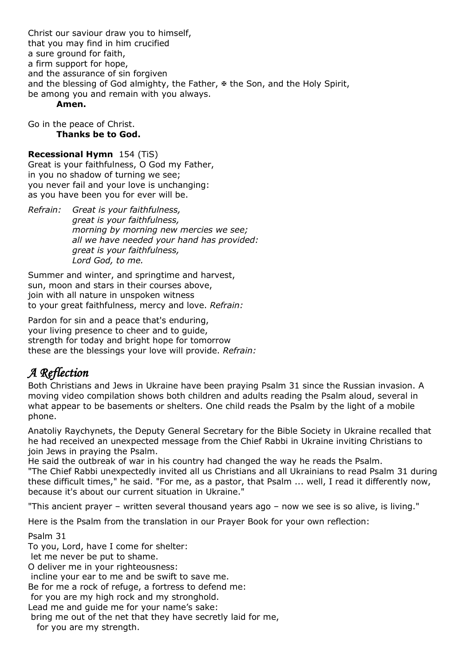Christ our saviour draw you to himself, that you may find in him crucified a sure ground for faith, a firm support for hope, and the assurance of sin forgiven and the blessing of God almighty, the Father,  $\mathbf{\Psi}$  the Son, and the Holy Spirit, be among you and remain with you always.

#### **Amen.**

Go in the peace of Christ. **Thanks be to God.**

# **Recessional Hymn** 154 (TiS)

Great is your faithfulness, O God my Father, in you no shadow of turning we see; you never fail and your love is unchanging: as you have been you for ever will be.

*Refrain: Great is your faithfulness, great is your faithfulness, morning by morning new mercies we see; all we have needed your hand has provided: great is your faithfulness, Lord God, to me.*

Summer and winter, and springtime and harvest, sun, moon and stars in their courses above, join with all nature in unspoken witness to your great faithfulness, mercy and love. *Refrain:*

Pardon for sin and a peace that's enduring, your living presence to cheer and to guide, strength for today and bright hope for tomorrow these are the blessings your love will provide. *Refrain:*

# *A Reflection*

Both Christians and Jews in Ukraine have been praying Psalm 31 since the Russian invasion. A moving video compilation shows both children and adults reading the Psalm aloud, several in what appear to be basements or shelters. One child reads the Psalm by the light of a mobile phone.

Anatoliy Raychynets, the Deputy General Secretary for the Bible Society in Ukraine recalled that he had received an unexpected message from the Chief Rabbi in Ukraine inviting Christians to join Jews in praying the Psalm.

He said the outbreak of war in his country had changed the way he reads the Psalm. "The Chief Rabbi unexpectedly invited all us Christians and all Ukrainians to read Psalm 31 during these difficult times," he said. "For me, as a pastor, that Psalm ... well, I read it differently now, because it's about our current situation in Ukraine."

"This ancient prayer – written several thousand years ago – now we see is so alive, is living."

Here is the Psalm from the translation in our Prayer Book for your own reflection:

Psalm 31

To you, Lord, have I come for shelter: let me never be put to shame.

O deliver me in your righteousness:

incline your ear to me and be swift to save me.

Be for me a rock of refuge, a fortress to defend me:

for you are my high rock and my stronghold.

Lead me and guide me for your name's sake:

bring me out of the net that they have secretly laid for me,

for you are my strength.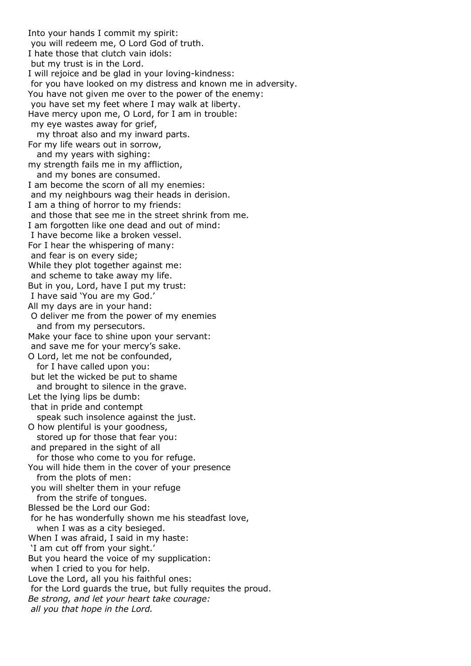Into your hands I commit my spirit: you will redeem me, O Lord God of truth. I hate those that clutch vain idols: but my trust is in the Lord. I will rejoice and be glad in your loving-kindness: for you have looked on my distress and known me in adversity. You have not given me over to the power of the enemy: you have set my feet where I may walk at liberty. Have mercy upon me, O Lord, for I am in trouble: my eye wastes away for grief, my throat also and my inward parts. For my life wears out in sorrow, and my years with sighing: my strength fails me in my affliction, and my bones are consumed. I am become the scorn of all my enemies: and my neighbours wag their heads in derision. I am a thing of horror to my friends: and those that see me in the street shrink from me. I am forgotten like one dead and out of mind: I have become like a broken vessel. For I hear the whispering of many: and fear is on every side; While they plot together against me: and scheme to take away my life. But in you, Lord, have I put my trust: I have said 'You are my God.' All my days are in your hand: O deliver me from the power of my enemies and from my persecutors. Make your face to shine upon your servant: and save me for your mercy's sake. O Lord, let me not be confounded, for I have called upon you: but let the wicked be put to shame and brought to silence in the grave. Let the lying lips be dumb: that in pride and contempt speak such insolence against the just. O how plentiful is your goodness, stored up for those that fear you: and prepared in the sight of all for those who come to you for refuge. You will hide them in the cover of your presence from the plots of men: you will shelter them in your refuge from the strife of tongues. Blessed be the Lord our God: for he has wonderfully shown me his steadfast love, when I was as a city besieged. When I was afraid, I said in my haste: 'I am cut off from your sight.' But you heard the voice of my supplication: when I cried to you for help. Love the Lord, all you his faithful ones: for the Lord guards the true, but fully requites the proud. *Be strong, and let your heart take courage: all you that hope in the Lord.*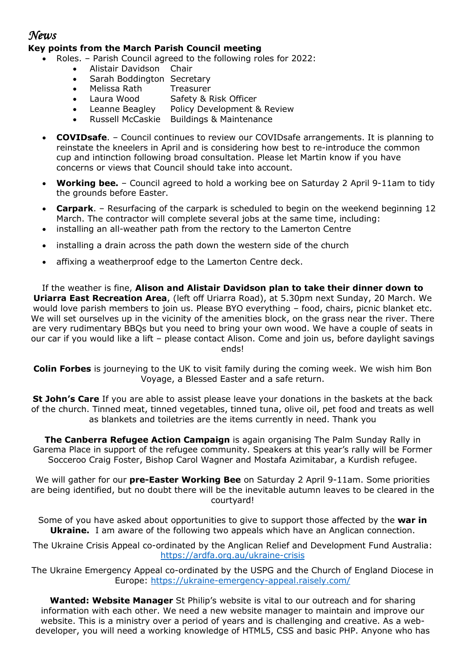# *News*

# **Key points from the March Parish Council meeting**

- Roles. Parish Council agreed to the following roles for 2022:
	- Alistair Davidson Chair
	- Sarah Boddington Secretary
	- Melissa Rath Treasurer
	- Laura Wood Safety & Risk Officer
	- Leanne Beagley Policy Development & Review
	- Russell McCaskie Buildings & Maintenance
- **COVIDsafe**. Council continues to review our COVIDsafe arrangements. It is planning to reinstate the kneelers in April and is considering how best to re-introduce the common cup and intinction following broad consultation. Please let Martin know if you have concerns or views that Council should take into account.
- **Working bee.** Council agreed to hold a working bee on Saturday 2 April 9-11am to tidy the grounds before Easter.
- **Carpark**. Resurfacing of the carpark is scheduled to begin on the weekend beginning 12 March. The contractor will complete several jobs at the same time, including:
- installing an all-weather path from the rectory to the Lamerton Centre
- installing a drain across the path down the western side of the church
- affixing a weatherproof edge to the Lamerton Centre deck.

If the weather is fine, **Alison and Alistair Davidson plan to take their dinner down to Uriarra East Recreation Area**, (left off Uriarra Road), at 5.30pm next Sunday, 20 March. We would love parish members to join us. Please BYO everything – food, chairs, picnic blanket etc. We will set ourselves up in the vicinity of the amenities block, on the grass near the river. There are very rudimentary BBQs but you need to bring your own wood. We have a couple of seats in our car if you would like a lift – please contact Alison. Come and join us, before daylight savings ends!

**Colin Forbes** is journeying to the UK to visit family during the coming week. We wish him Bon Voyage, a Blessed Easter and a safe return.

**St John's Care** If you are able to assist please leave your donations in the baskets at the back of the church. Tinned meat, tinned vegetables, tinned tuna, olive oil, pet food and treats as well as blankets and toiletries are the items currently in need. Thank you

**The Canberra Refugee Action Campaign** is again organising The Palm Sunday Rally in Garema Place in support of the refugee community. Speakers at this year's rally will be Former Socceroo Craig Foster, Bishop Carol Wagner and Mostafa Azimitabar, a Kurdish refugee.

We will gather for our **pre-Easter Working Bee** on Saturday 2 April 9-11am. Some priorities are being identified, but no doubt there will be the inevitable autumn leaves to be cleared in the courtyard!

Some of you have asked about opportunities to give to support those affected by the **war in Ukraine.** I am aware of the following two appeals which have an Anglican connection.

The Ukraine Crisis Appeal co-ordinated by the Anglican Relief and Development Fund Australia: <https://ardfa.org.au/ukraine-crisis>

The Ukraine Emergency Appeal co-ordinated by the USPG and the Church of England Diocese in Europe:<https://ukraine-emergency-appeal.raisely.com/>

**Wanted: Website Manager** St Philip's website is vital to our outreach and for sharing information with each other. We need a new website manager to maintain and improve our website. This is a ministry over a period of years and is challenging and creative. As a webdeveloper, you will need a working knowledge of HTML5, CSS and basic PHP. Anyone who has